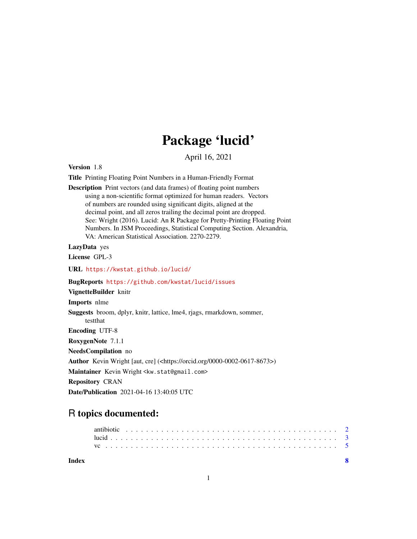## Package 'lucid'

April 16, 2021

```
Version 1.8
```
Title Printing Floating Point Numbers in a Human-Friendly Format

Description Print vectors (and data frames) of floating point numbers using a non-scientific format optimized for human readers. Vectors of numbers are rounded using significant digits, aligned at the decimal point, and all zeros trailing the decimal point are dropped. See: Wright (2016). Lucid: An R Package for Pretty-Printing Floating Point Numbers. In JSM Proceedings, Statistical Computing Section. Alexandria, VA: American Statistical Association. 2270-2279.

LazyData yes

License GPL-3

URL <https://kwstat.github.io/lucid/>

BugReports <https://github.com/kwstat/lucid/issues>

VignetteBuilder knitr Imports nlme Suggests broom, dplyr, knitr, lattice, lme4, rjags, rmarkdown, sommer, testthat Encoding UTF-8 RoxygenNote 7.1.1 NeedsCompilation no Author Kevin Wright [aut, cre] (<https://orcid.org/0000-0002-0617-8673>) Maintainer Kevin Wright <kw.stat@gmail.com>

Repository CRAN

Date/Publication 2021-04-16 13:40:05 UTC

### R topics documented:

**Index** [8](#page-7-0) **8**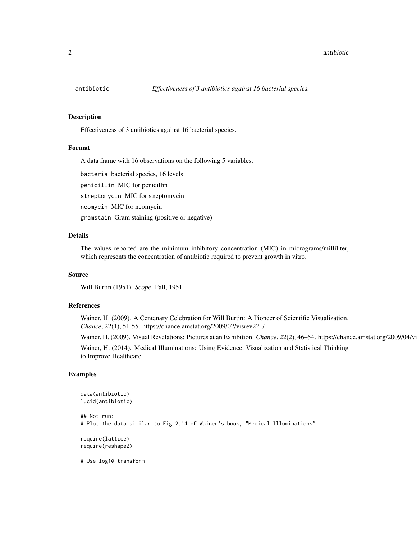<span id="page-1-0"></span>

#### Description

Effectiveness of 3 antibiotics against 16 bacterial species.

#### Format

A data frame with 16 observations on the following 5 variables.

bacteria bacterial species, 16 levels penicillin MIC for penicillin streptomycin MIC for streptomycin neomycin MIC for neomycin

gramstain Gram staining (positive or negative)

#### Details

The values reported are the minimum inhibitory concentration (MIC) in micrograms/milliliter, which represents the concentration of antibiotic required to prevent growth in vitro.

#### Source

Will Burtin (1951). *Scope*. Fall, 1951.

#### References

Wainer, H. (2009). A Centenary Celebration for Will Burtin: A Pioneer of Scientific Visualization. *Chance*, 22(1), 51-55. https://chance.amstat.org/2009/02/visrev221/

Wainer, H. (2009). Visual Revelations: Pictures at an Exhibition. *Chance*, 22(2), 46–54. https://chance.amstat.org/2009/04/vi

Wainer, H. (2014). Medical Illuminations: Using Evidence, Visualization and Statistical Thinking to Improve Healthcare.

#### Examples

```
data(antibiotic)
lucid(antibiotic)
## Not run:
# Plot the data similar to Fig 2.14 of Wainer's book, "Medical Illuminations"
require(lattice)
require(reshape2)
# Use log10 transform
```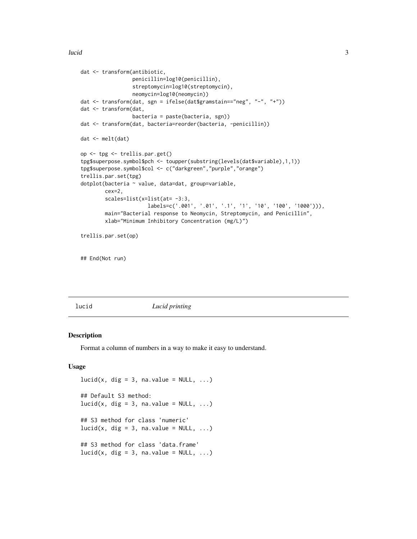```
dat <- transform(antibiotic,
                 penicillin=log10(penicillin),
                 streptomycin=log10(streptomycin),
                 neomycin=log10(neomycin))
dat <- transform(dat, sgn = ifelse(dat$gramstain=="neg", "-", "+"))
dat <- transform(dat,
                 bacteria = paste(bacteria, sgn))
dat <- transform(dat, bacteria=reorder(bacteria, -penicillin))
dat <- melt(dat)
op <- tpg <- trellis.par.get()
tpg$superpose.symbol$pch <- toupper(substring(levels(dat$variable),1,1))
tpg$superpose.symbol$col <- c("darkgreen","purple","orange")
trellis.par.set(tpg)
dotplot(bacteria ~ value, data=dat, group=variable,
       cex=2,
        scales=list(x=list(at= -3:3,
                      labels=c('.001', '.01', '.1', '1', '10', '100', '1000'))),
        main="Bacterial response to Neomycin, Streptomycin, and Penicillin",
        xlab="Minimum Inhibitory Concentration (mg/L)")
trellis.par.set(op)
```
## End(Not run)

lucid *Lucid printing*

#### Description

Format a column of numbers in a way to make it easy to understand.

#### Usage

```
lucid(x, dig = 3, na.value = NULL, ...)## Default S3 method:
lucid(x, dig = 3, na.value = NULL, ...)## S3 method for class 'numeric'
lucid(x, dig = 3, na.value = NULL, ...)## S3 method for class 'data.frame'
lucid(x, dig = 3, na.value = NULL, ...)
```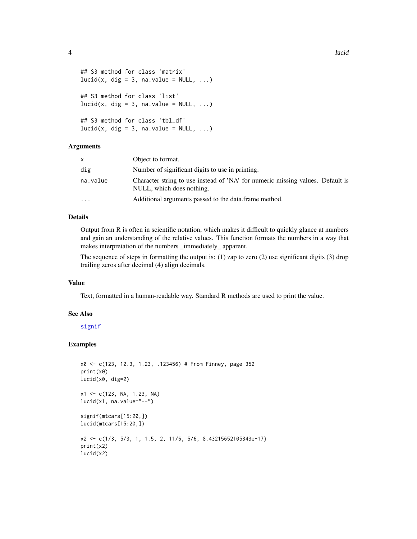```
## S3 method for class 'matrix'
lucid(x, dig = 3, na.value = NULL, ...)## S3 method for class 'list'
lucid(x, dig = 3, na.value = NULL, ...)## S3 method for class 'tbl_df'
lucid(x, dig = 3, na.value = NULL, ...)
```
#### Arguments

| x        | Object to format.                                                                                           |
|----------|-------------------------------------------------------------------------------------------------------------|
| dig      | Number of significant digits to use in printing.                                                            |
| na.value | Character string to use instead of 'NA' for numeric missing values. Default is<br>NULL, which does nothing. |
| .        | Additional arguments passed to the data frame method.                                                       |

#### Details

Output from R is often in scientific notation, which makes it difficult to quickly glance at numbers and gain an understanding of the relative values. This function formats the numbers in a way that makes interpretation of the numbers \_immediately\_ apparent.

The sequence of steps in formatting the output is: (1) zap to zero (2) use significant digits (3) drop trailing zeros after decimal (4) align decimals.

#### Value

Text, formatted in a human-readable way. Standard R methods are used to print the value.

#### See Also

#### [signif](#page-0-0)

#### Examples

```
x0 <- c(123, 12.3, 1.23, .123456) # From Finney, page 352
print(x0)
lucid(x0, dig=2)
x1 <- c(123, NA, 1.23, NA)
lucid(x1, na.value="--")
signif(mtcars[15:20,])
lucid(mtcars[15:20,])
x2 <- c(1/3, 5/3, 1, 1.5, 2, 11/6, 5/6, 8.43215652105343e-17)
print(x2)
lucid(x2)
```
<span id="page-3-0"></span>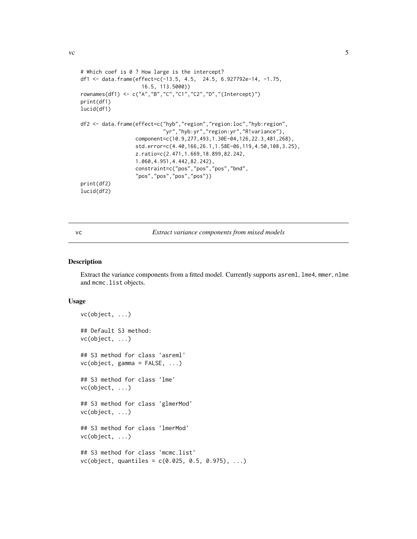```
# Which coef is 0 ? How large is the intercept?
df1 <- data.frame(effect=c(-13.5, 4.5, 24.5, 6.927792e-14, -1.75,
                    16.5, 113.5000))
rownames(df1) <- c("A","B","C","C1","C2","D","(Intercept)")
print(df1)
lucid(df1)
df2 <- data.frame(effect=c("hyb","region","region:loc","hyb:region",
                           "yr","hyb:yr","region:yr","R!variance"),
                  component=c(10.9,277,493,1.30E-04,126,22.3,481,268),
                  std.error=c(4.40,166,26.1,1.58E-06,119,4.50,108,3.25),
                  z.ratio=c(2.471,1.669,18.899,82.242,
                  1.060,4.951,4.442,82.242),
                  constraint=c("pos","pos","pos","bnd",
                  "pos","pos","pos","pos"))
print(df2)
lucid(df2)
```
vc *Extract variance components from mixed models*

#### Description

Extract the variance components from a fitted model. Currently supports asreml, lme4, mmer, nlme and mcmc.list objects.

#### Usage

```
vc(object, ...)
## Default S3 method:
vc(object, ...)
## S3 method for class 'asreml'
vc(object, gamma = FALSE, ...)
## S3 method for class 'lme'
vc(object, ...)
## S3 method for class 'glmerMod'
vc(object, ...)
## S3 method for class 'lmerMod'
vc(object, ...)
## S3 method for class 'mcmc.list'
vc(object, quantiles = c(0.025, 0.5, 0.975), ...)
```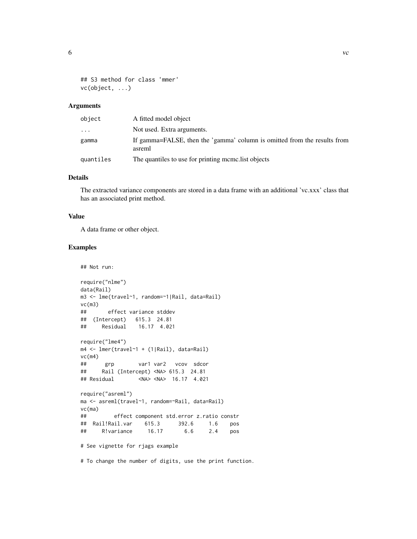## S3 method for class 'mmer'

vc(object, ...)

#### Arguments

| object    | A fitted model object                                                              |
|-----------|------------------------------------------------------------------------------------|
| .         | Not used. Extra arguments.                                                         |
| gamma     | If gamma=FALSE, then the 'gamma' column is omitted from the results from<br>asreml |
| quantiles | The quantiles to use for printing momellist objects                                |

#### Details

The extracted variance components are stored in a data frame with an additional 'vc.xxx' class that has an associated print method.

#### Value

A data frame or other object.

#### Examples

```
## Not run:
```

```
require("nlme")
data(Rail)
m3 <- lme(travel~1, random=~1|Rail, data=Rail)
vc(m3)
## effect variance stddev
## (Intercept) 615.3 24.81
## Residual 16.17 4.021
require("lme4")
m4 <- lmer(travel~1 + (1|Rail), data=Rail)
vc(m4)## grp var1 var2 vcov sdcor
## Rail (Intercept) <NA> 615.3 24.81
## Residual <NA> <NA> 16.17 4.021
require("asreml")
ma <- asreml(travel~1, random=~Rail, data=Rail)
vc(ma)
## effect component std.error z.ratio constr
## Rail!Rail.var 615.3 392.6 1.6 pos
## R!variance 16.17 6.6 2.4 pos
# See vignette for rjags example
```
# To change the number of digits, use the print function.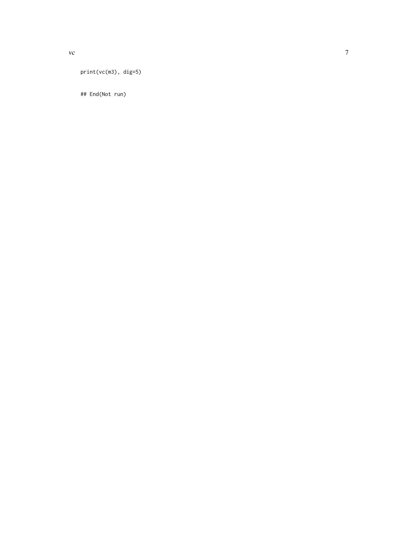vc

## End(Not run)